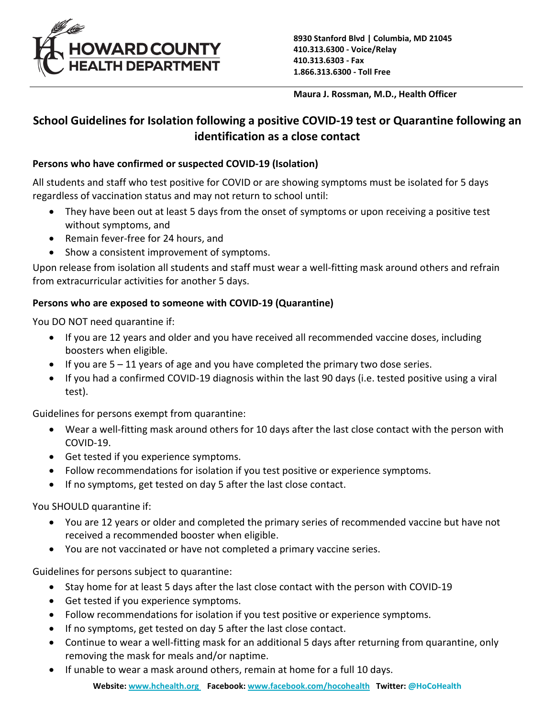

**Maura J. Rossman, M.D., Health Officer**

# **School Guidelines for Isolation following a positive COVID-19 test or Quarantine following an identification as a close contact**

### **Persons who have confirmed or suspected COVID-19 (Isolation)**

All students and staff who test positive for COVID or are showing symptoms must be isolated for 5 days regardless of vaccination status and may not return to school until:

- They have been out at least 5 days from the onset of symptoms or upon receiving a positive test without symptoms, and
- Remain fever-free for 24 hours, and
- Show a consistent improvement of symptoms.

Upon release from isolation all students and staff must wear a well-fitting mask around others and refrain from extracurricular activities for another 5 days.

## **Persons who are exposed to someone with COVID-19 (Quarantine)**

You DO NOT need quarantine if:

- If you are 12 years and older and you have received all recommended vaccine doses, including boosters when eligible.
- $\bullet$  If you are  $5 11$  years of age and you have completed the primary two dose series.
- If you had a confirmed COVID-19 diagnosis within the last 90 days (i.e. tested positive using a viral test).

Guidelines for persons exempt from quarantine:

- Wear a well-fitting mask around others for 10 days after the last close contact with the person with COVID-19.
- Get tested if you experience symptoms.
- Follow recommendations for isolation if you test positive or experience symptoms.
- If no symptoms, get tested on day 5 after the last close contact.

You SHOULD quarantine if:

- You are 12 years or older and completed the primary series of recommended vaccine but have not received a recommended booster when eligible.
- You are not vaccinated or have not completed a primary vaccine series.

Guidelines for persons subject to quarantine:

- Stay home for at least 5 days after the last close contact with the person with COVID-19
- Get tested if you experience symptoms.
- Follow recommendations for isolation if you test positive or experience symptoms.
- If no symptoms, get tested on day 5 after the last close contact.
- Continue to wear a well-fitting mask for an additional 5 days after returning from quarantine, only removing the mask for meals and/or naptime.
- If unable to wear a mask around others, remain at home for a full 10 days.